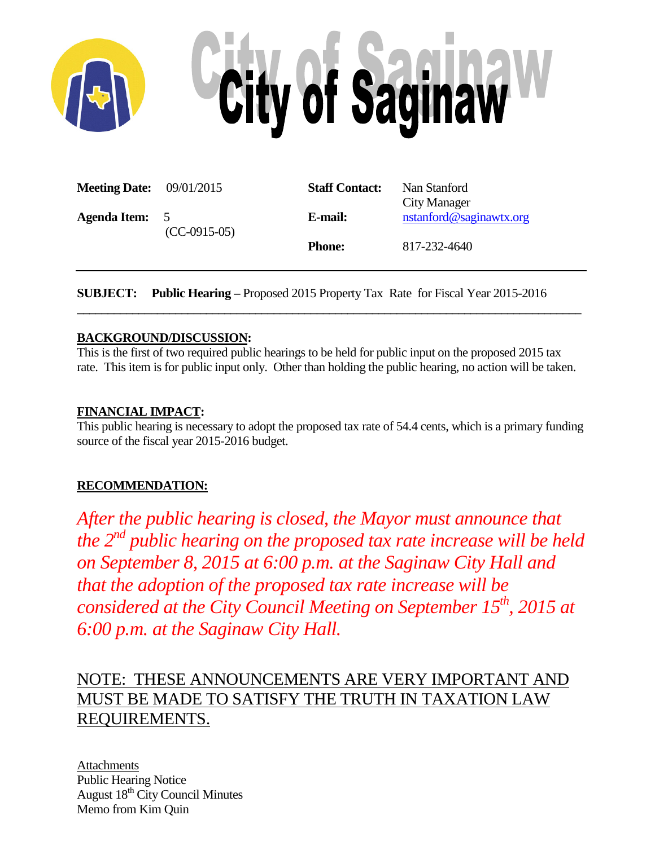

| <b>Meeting Date:</b> $09/01/2015$ |                | <b>Staff Contact:</b> | Nan Stanford            |
|-----------------------------------|----------------|-----------------------|-------------------------|
|                                   |                |                       | City Manager            |
| Agenda Item:                      | $\overline{5}$ | E-mail:               | nstanford@saginawtx.org |
|                                   | $(CC-0915-05)$ |                       |                         |
|                                   |                | <b>Phone:</b>         | 817-232-4640            |
|                                   |                |                       |                         |

**SUBJECT: Public Hearing –** Proposed 2015 Property Tax Rate for Fiscal Year 2015-2016

### **BACKGROUND/DISCUSSION:**

This is the first of two required public hearings to be held for public input on the proposed 2015 tax rate. This item is for public input only. Other than holding the public hearing, no action will be taken.

**\_\_\_\_\_\_\_\_\_\_\_\_\_\_\_\_\_\_\_\_\_\_\_\_\_\_\_\_\_\_\_\_\_\_\_\_\_\_\_\_\_\_\_\_\_\_\_\_\_\_\_\_\_\_\_\_\_\_\_\_\_\_\_\_\_\_\_\_\_\_\_\_\_\_\_\_\_\_\_\_\_\_**

### **FINANCIAL IMPACT:**

This public hearing is necessary to adopt the proposed tax rate of 54.4 cents, which is a primary funding source of the fiscal year 2015-2016 budget.

### **RECOMMENDATION:**

*After the public hearing is closed, the Mayor must announce that the 2nd public hearing on the proposed tax rate increase will be held on September 8, 2015 at 6:00 p.m. at the Saginaw City Hall and that the adoption of the proposed tax rate increase will be considered at the City Council Meeting on September 15<sup>th</sup>, 2015 at 6:00 p.m. at the Saginaw City Hall.* 

## NOTE: THESE ANNOUNCEMENTS ARE VERY IMPORTANT AND MUST BE MADE TO SATISFY THE TRUTH IN TAXATION LAW REQUIREMENTS.

Attachments Public Hearing Notice August 18<sup>th</sup> City Council Minutes Memo from Kim Quin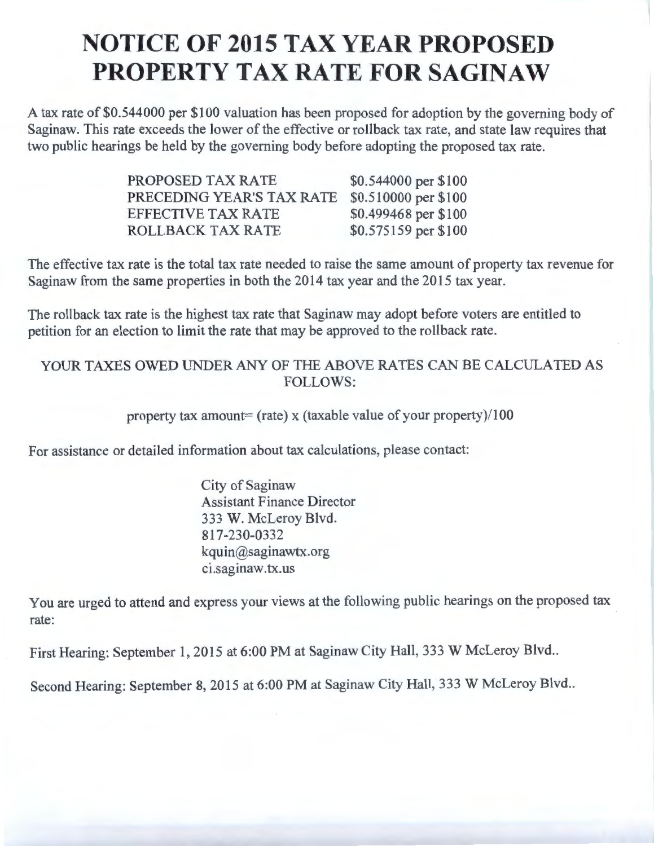# **NOTICE OF 2015 TAX YEAR PROPOSED PROPERTY TAX RATE FOR SAGINAW**

A tax rate of \$0.544000 per \$100 valuation has been proposed for adoption by the governing body of Saginaw. This rate exceeds the lower of the effective or rollback tax rate, and state law requires that two public hearings be held by the governing body before adopting the proposed tax rate.

| PROPOSED TAX RATE         | \$0.544000 per \$100 |
|---------------------------|----------------------|
| PRECEDING YEAR'S TAX RATE | \$0.510000 per \$100 |
| <b>EFFECTIVE TAX RATE</b> | \$0.499468 per \$100 |
| <b>ROLLBACK TAX RATE</b>  | \$0.575159 per \$100 |

The effective tax rate is the total tax rate needed to raise the same amount of property tax revenue for Saginaw from the same properties in both the 2014 tax year and the 2015 tax year.

The rollback tax rate is the highest tax rate that Saginaw may adopt before voters are entitled to petition for an election to limit the rate that may be approved to the rollback rate.

### YOUR TAXES OWED UNDER ANY OF THE ABOVE RATES CAN BE CALCULATED AS FOLLOWS:

### property tax amount= (rate) x (taxable value of your property)/100

For assistance or detailed information about tax calculations, please contact:

City of Saginaw Assistant Finance Director 333 W. McLeroy Blvd. 817-230-0332 kquin@saginawtx.org ci.saginaw.tx.us

You are urged to attend and express your views at the following public hearings on the proposed tax rate:

First Hearing: September 1, 2015 at 6:00 PM at Saginaw City Hall, 333 W McLeroy Blvd..

Second Hearing: September 8, 2015 at 6:00 PM at Saginaw City Hall, 333 W McLeroy Blvd..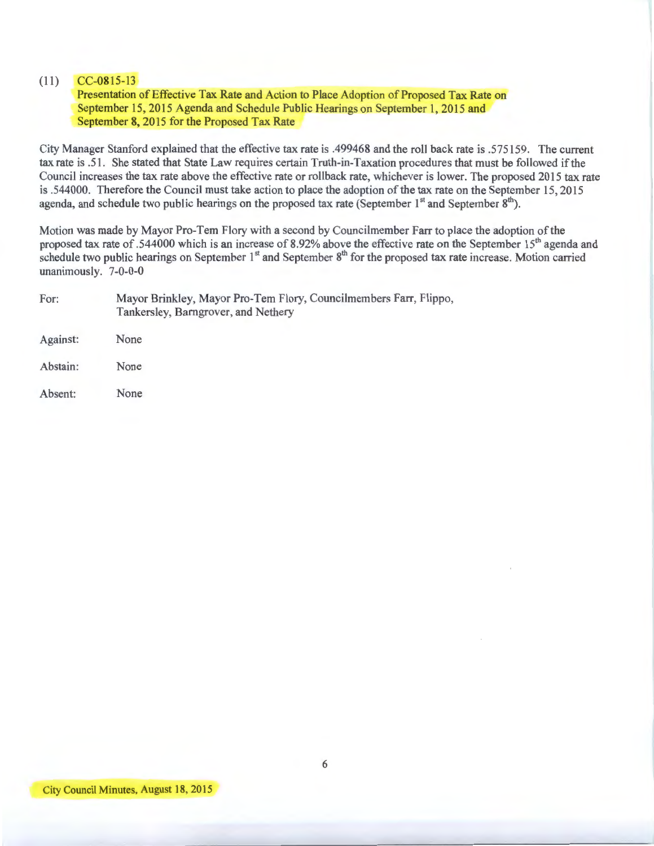#### (11) CC-0815-13

Presentation of Effective Tax Rate and Action to Place Adoption of Proposed Tax Rate on September 15, 2015 Agenda and Schedule Public Hearings on September 1, 2015 and September 8, 2015 for the Proposed Tax Rate

City Manager Stanford explained that the effective tax rate is .499468 and the roll back rate is .575159. The current tax rate is .51. She stated that State Law requires certain Truth-in-Taxation procedures that must be followed if the Council increases the tax rate above the effective rate or rollback rate, whichever is lower. The proposed 2015 tax rate is .544000. Therefore the Council must take action to place the adoption of the tax rate on the September 15, 2015 agenda, and schedule two public hearings on the proposed tax rate (September  $1<sup>st</sup>$  and September  $8<sup>m</sup>$ ).

Motion was made by Mayor Pro-Tem Flory with a second by Councilmember Farr to place the adoption of the proposed tax rate of .544000 which is an increase of 8.92% above the effective rate on the September 15<sup>th</sup> agenda and schedule two public hearings on September 1<sup>st</sup> and September 8<sup>th</sup> for the proposed tax rate increase. Motion carried unanimously. 7-0-0-0

| For:     | Mayor Brinkley, Mayor Pro-Tem Flory, Councilmembers Farr, Flippo,<br>Tankersley, Barngrover, and Nethery |  |  |  |
|----------|----------------------------------------------------------------------------------------------------------|--|--|--|
| Against: | None                                                                                                     |  |  |  |
| Abstain: | None                                                                                                     |  |  |  |
| Absent:  | None                                                                                                     |  |  |  |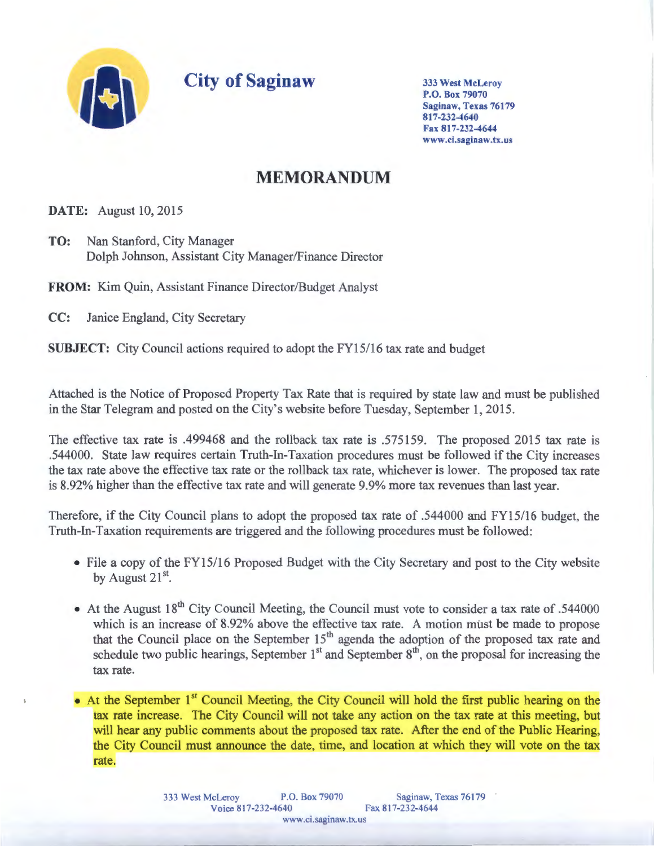

**City of Saginaw** 

333 West McLeroy P.O. Box 79070 Saginaw, Texas 76179 817-232-4640 Fax 817-232-4644 www.ci.saginaw.tx.us

## **MEMORANDUM**

**DATE:** August 10, 2015

**TO:** Nan Stanford, City Manager Dolph Johnson, Assistant City Manager/Finance Director

**FROM:** Kim Quin, Assistant Finance Director/Budget Analyst

CC: Janice England, City Secretary

**SUBJECT:** City Council actions required to adopt the FY15/16 tax rate and budget

Attached is the Notice of Proposed Property Tax Rate that is required by state law and must be published in the Star Telegram and posted on the City's website before Tuesday, September 1, 2015.

The effective tax rate is .499468 and the rollback tax rate is .575159. The proposed 2015 tax rate is .544000. State law requires certain Truth-In-Taxation procedures must be followed if the City increases the tax rate above the effective tax rate or the rollback tax rate, whichever is lower. The proposed tax rate is 8.92% higher than the effective tax rate and will generate 9.9% more tax revenues than last year.

Therefore, if the City Council plans to adopt the proposed tax rate of .544000 and FY15/16 budget, the Truth-In-Taxation requirements are triggered and the following procedures must be followed:

- File a copy of the FY15/16 Proposed Budget with the City Secretary and post to the City website by August 21<sup>st</sup>.
- At the August  $18^{th}$  City Council Meeting, the Council must vote to consider a tax rate of .544000 which is an increase of 8.92% above the effective tax rate. A motion must be made to propose that the Council place on the September 15<sup>th</sup> agenda the adoption of the proposed tax rate and schedule two public hearings, September  $1<sup>st</sup>$  and September  $8<sup>th</sup>$ , on the proposal for increasing the tax rate.
- At the September 1<sup>st</sup> Council Meeting, the City Council will hold the first public hearing on the tax rate increase. The City Council will not take any action on the tax rate at this meeting, but will hear any public comments about the proposed tax rate. After the end of the Public Hearing, the City Council must announce the date, time, and location at which they will vote on the t rate.